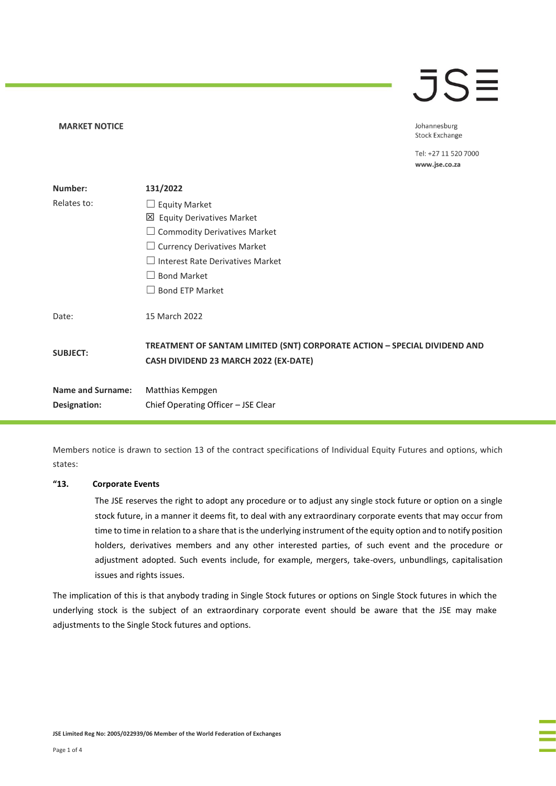# $\overline{\mathsf{J}}\mathsf{S}\mathsf{\Xi}$

Johannesburg **Stock Exchange** 

Tel: +27 11 520 7000 www.jse.co.za

| Number:                  | 131/2022                                                                                                                  |
|--------------------------|---------------------------------------------------------------------------------------------------------------------------|
| Relates to:              | $\Box$ Equity Market                                                                                                      |
|                          | 凶 Equity Derivatives Market                                                                                               |
|                          | $\Box$ Commodity Derivatives Market                                                                                       |
|                          | $\Box$ Currency Derivatives Market                                                                                        |
|                          | $\Box$ Interest Rate Derivatives Market                                                                                   |
|                          | <b>Bond Market</b>                                                                                                        |
|                          | <b>Bond ETP Market</b>                                                                                                    |
| Date:                    | 15 March 2022                                                                                                             |
| <b>SUBJECT:</b>          | TREATMENT OF SANTAM LIMITED (SNT) CORPORATE ACTION - SPECIAL DIVIDEND AND<br><b>CASH DIVIDEND 23 MARCH 2022 (EX-DATE)</b> |
| <b>Name and Surname:</b> | Matthias Kempgen                                                                                                          |
| Designation:             | Chief Operating Officer - JSE Clear                                                                                       |

Members notice is drawn to section 13 of the contract specifications of Individual Equity Futures and options, which states:

#### **"13. Corporate Events**

**MARKET NOTICE** 

The JSE reserves the right to adopt any procedure or to adjust any single stock future or option on a single stock future, in a manner it deems fit, to deal with any extraordinary corporate events that may occur from time to time in relation to a share that is the underlying instrument of the equity option and to notify position holders, derivatives members and any other interested parties, of such event and the procedure or adjustment adopted. Such events include, for example, mergers, take-overs, unbundlings, capitalisation issues and rights issues.

The implication of this is that anybody trading in Single Stock futures or options on Single Stock futures in which the underlying stock is the subject of an extraordinary corporate event should be aware that the JSE may make adjustments to the Single Stock futures and options.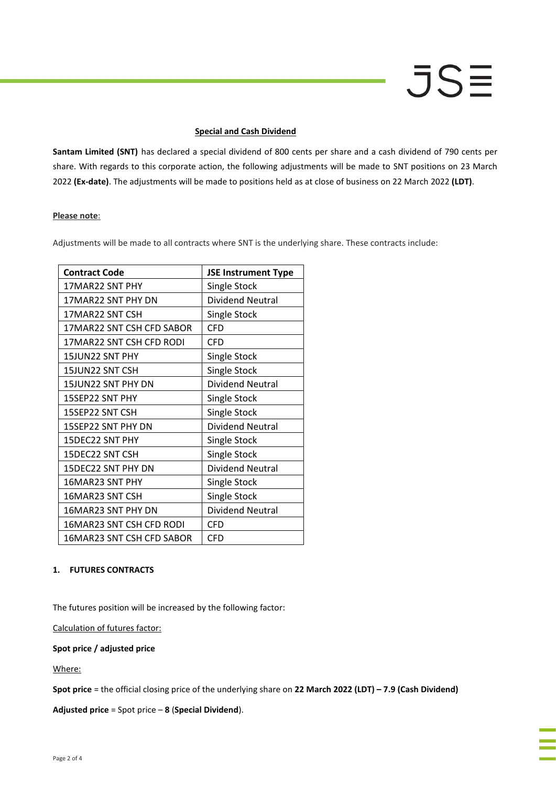# **JSE**

#### **Special and Cash Dividend**

**Santam Limited (SNT)** has declared a special dividend of 800 cents per share and a cash dividend of 790 cents per share. With regards to this corporate action, the following adjustments will be made to SNT positions on 23 March 2022 **(Ex-date)**. The adjustments will be made to positions held as at close of business on 22 March 2022 **(LDT)**.

#### **Please note**:

Adjustments will be made to all contracts where SNT is the underlying share. These contracts include:

| <b>Contract Code</b>      | <b>JSE Instrument Type</b> |
|---------------------------|----------------------------|
| 17MAR22 SNT PHY           | Single Stock               |
| 17MAR22 SNT PHY DN        | <b>Dividend Neutral</b>    |
| 17MAR22 SNT CSH           | Single Stock               |
| 17MAR22 SNT CSH CFD SABOR | CFD                        |
| 17MAR22 SNT CSH CFD RODI  | <b>CFD</b>                 |
| 15JUN22 SNT PHY           | Single Stock               |
| 15JUN22 SNT CSH           | Single Stock               |
| 15JUN22 SNT PHY DN        | Dividend Neutral           |
| 15SEP22 SNT PHY           | Single Stock               |
| 15SEP22 SNT CSH           | Single Stock               |
| 15SEP22 SNT PHY DN        | Dividend Neutral           |
| 15DEC22 SNT PHY           | Single Stock               |
| 15DEC22 SNT CSH           | Single Stock               |
| 15DEC22 SNT PHY DN        | <b>Dividend Neutral</b>    |
| 16MAR23 SNT PHY           | Single Stock               |
| 16MAR23 SNT CSH           | Single Stock               |
| 16MAR23 SNT PHY DN        | Dividend Neutral           |
| 16MAR23 SNT CSH CFD RODI  | <b>CFD</b>                 |
| 16MAR23 SNT CSH CFD SABOR | CFD                        |

### **1. FUTURES CONTRACTS**

The futures position will be increased by the following factor:

Calculation of futures factor:

## **Spot price / adjusted price**

Where:

**Spot price** = the official closing price of the underlying share on **22 March 2022 (LDT) – 7.9 (Cash Dividend)**

**Adjusted price** = Spot price – **8** (**Special Dividend**).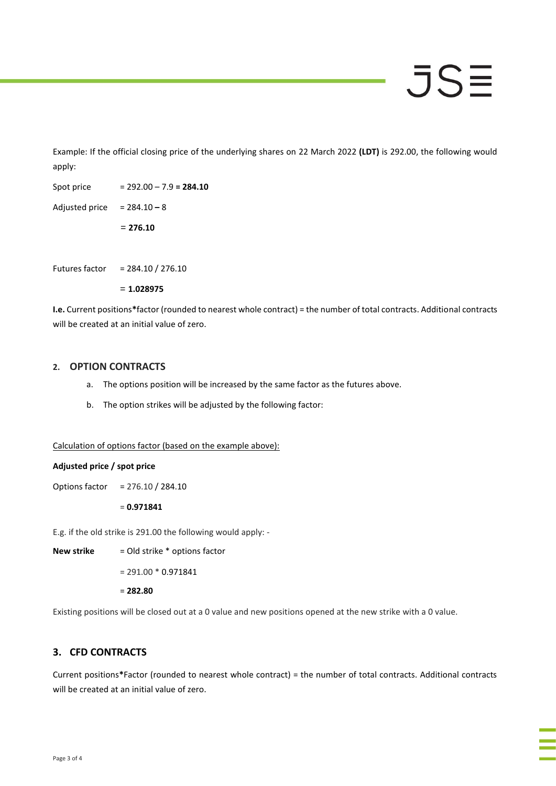# JSE

Example: If the official closing price of the underlying shares on 22 March 2022 **(LDT)** is 292.00, the following would apply:

Spot price = 292.00 – 7.9 **= 284.10** Adjusted price = 284.10 **–** 8

= **276.10**

Futures factor = 284.10 / 276.10

= **1.028975**

**I.e.** Current positions**\***factor (rounded to nearest whole contract) = the number of total contracts. Additional contracts will be created at an initial value of zero.

### **2. OPTION CONTRACTS**

- a. The options position will be increased by the same factor as the futures above.
- b. The option strikes will be adjusted by the following factor:

Calculation of options factor (based on the example above):

### **Adjusted price / spot price**

Options factor = 276.10 / 284.10

= **0.971841**

E.g. if the old strike is 291.00 the following would apply: -

**New strike** = Old strike \* options factor

 $= 291.00 * 0.971841$ 

= **282.80**

Existing positions will be closed out at a 0 value and new positions opened at the new strike with a 0 value.

# **3. CFD CONTRACTS**

Current positions**\***Factor (rounded to nearest whole contract) = the number of total contracts. Additional contracts will be created at an initial value of zero.